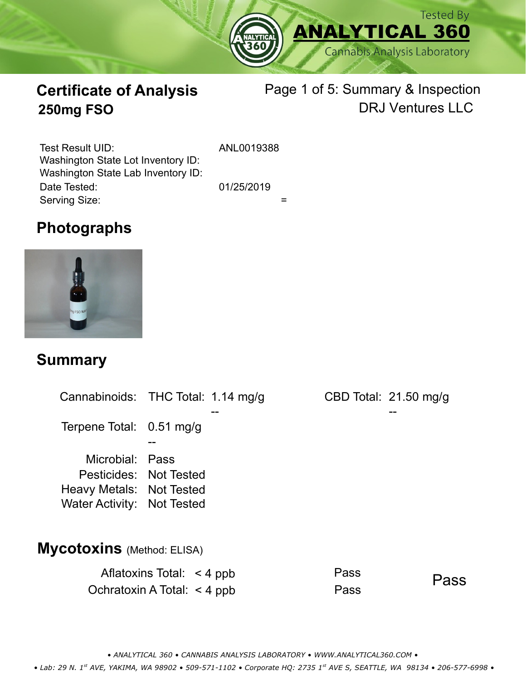

# **Certificate of Analysis**

# Page 1 of 5: Summary & Inspection **250mg FSO** DRJ Ventures LLC

Serving Size:  $=$ Test Result UID: ANL0019388 Date Tested: 01/25/2019 Washington State Lot Inventory ID: Washington State Lab Inventory ID:

# **Photographs**



### **Summary**

| Cannabinoids: THC Total: 1.14 mg/g                                                                         |                                                                |              | CBD Total: $21.50 \text{ mg/g}$ |
|------------------------------------------------------------------------------------------------------------|----------------------------------------------------------------|--------------|---------------------------------|
| Terpene Total: 0.51 mg/g                                                                                   |                                                                |              |                                 |
| Microbial: Pass<br>Pesticides: Not Tested<br>Heavy Metals: Not Tested<br><b>Water Activity: Not Tested</b> |                                                                |              |                                 |
| <b>Mycotoxins</b> (Method: ELISA)                                                                          |                                                                |              |                                 |
|                                                                                                            | Aflatoxins Total: $\lt$ 4 ppb<br>Ochratoxin A Total: $<$ 4 ppb | Pass<br>Pass | Pass                            |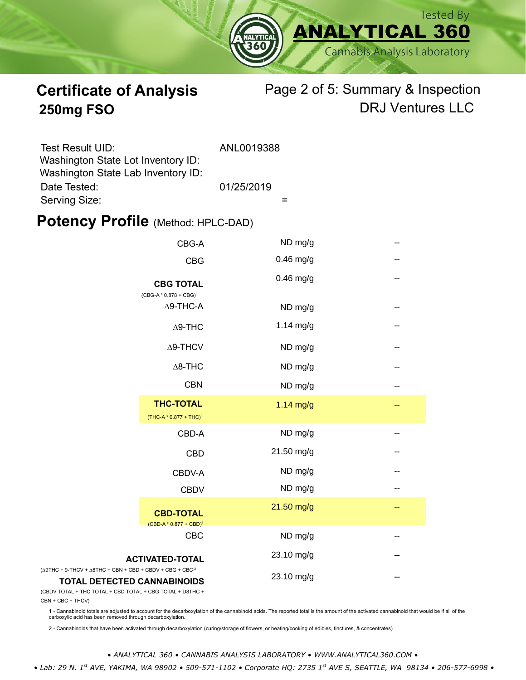

# **Certificate of Analysis** Page 2 of 5: Summary & Inspection **250mg FSO** DRJ Ventures LLC

| Test Result UID:<br>Washington State Lot Inventory ID: | ANL0019388 |
|--------------------------------------------------------|------------|
| Washington State Lab Inventory ID:                     |            |
| Date Tested:                                           | 01/25/2019 |
| Serving Size:                                          |            |

### **Potency Profile (Method: HPLC-DAD)**

| CBG-A                                                                                                         | ND mg/g     | -- |
|---------------------------------------------------------------------------------------------------------------|-------------|----|
| <b>CBG</b>                                                                                                    | $0.46$ mg/g | -- |
| <b>CBG TOTAL</b><br>(CBG-A * 0.878 + CBG) <sup>1</sup>                                                        | $0.46$ mg/g | -- |
| $\Delta$ 9-THC-A                                                                                              | ND mg/g     | -- |
| $\Delta$ 9-THC                                                                                                | $1.14$ mg/g | -- |
| $\Delta$ 9-THCV                                                                                               | ND mg/g     | -- |
| $\Delta$ 8-THC                                                                                                | ND mg/g     | -- |
| <b>CBN</b>                                                                                                    | ND mg/g     | -- |
| <b>THC-TOTAL</b><br>$(THC-A * 0.877 + THC)^1$                                                                 | $1.14$ mg/g | -- |
| CBD-A                                                                                                         | ND mg/g     | -- |
| <b>CBD</b>                                                                                                    | 21.50 mg/g  | -- |
| CBDV-A                                                                                                        | ND mg/g     | -- |
| <b>CBDV</b>                                                                                                   | ND mg/g     | -- |
| <b>CBD-TOTAL</b><br>$(CBD-A * 0.877 + CBD)^1$                                                                 | 21.50 mg/g  | -- |
| <b>CBC</b>                                                                                                    | ND mg/g     | -- |
| <b>ACTIVATED-TOTAL</b>                                                                                        | 23.10 mg/g  | -- |
| $(\Delta 9THC + 9-THCV + \Delta 8THC + CBN + CBD + CBDV + CBC + CBC)^2$<br><b>TOTAL DETECTED CANNABINOIDS</b> | 23.10 mg/g  |    |

(CBDV TOTAL + THC TOTAL + CBD TOTAL + CBG TOTAL + D8THC +

CBN + CBC + THCV)

1 - Cannabinoid totals are adjusted to account for the decarboxylation of the cannabinoid acids. The reported total is the amount of the activated cannabinoid that would be if all of the<br>carboxylic acid has been removed th

2 - Cannabinoids that have been activated through decarboxylation (curing/storage of flowers, or heating/cooking of edibles, tinctures, & concentrates)

*• ANALYTICAL 360 • CANNABIS ANALYSIS LABORATORY • WWW.ANALYTICAL360.COM •*

*• Lab: 29 N. 1st AVE, YAKIMA, WA 98902 • 509-571-1102 • Corporate HQ: 2735 1st AVE S, SEATTLE, WA 98134 • 206-577-6998 •*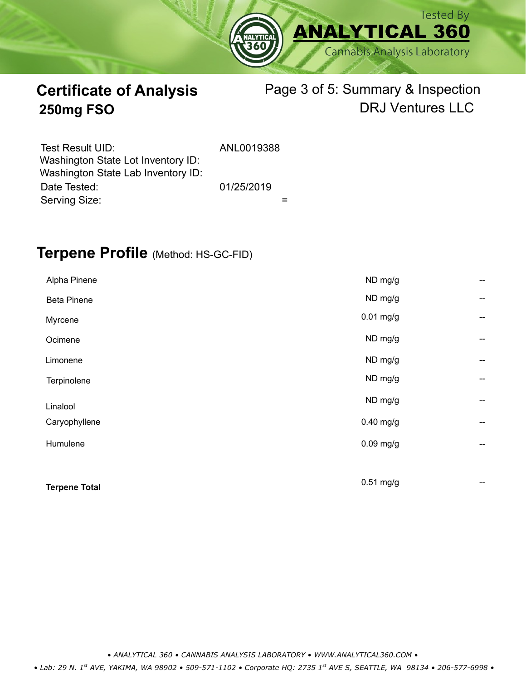

# **Certificate of Analysis** Page 3 of 5: Summary & Inspection **250mg FSO** DRJ Ventures LLC

| Test Result UID:<br>Washington State Lot Inventory ID: | ANL0019388 |
|--------------------------------------------------------|------------|
| Washington State Lab Inventory ID:                     |            |
| Date Tested:                                           | 01/25/2019 |
| Serving Size:                                          |            |

### **Terpene Profile** (Method: HS-GC-FID)

| <b>Terpene Total</b> | $0.51$ mg/g | $\hspace{0.05cm}$                     |
|----------------------|-------------|---------------------------------------|
|                      |             |                                       |
| Humulene             | $0.09$ mg/g | --                                    |
| Caryophyllene        | $0.40$ mg/g | $\overline{\phantom{m}}$              |
| Linalool             | ND mg/g     | $\hspace{0.05cm}$ – $\hspace{0.05cm}$ |
| Terpinolene          | ND mg/g     | $\hspace{0.05cm}$                     |
| Limonene             | ND mg/g     | --                                    |
| Ocimene              | ND mg/g     | $\hspace{0.05cm}$                     |
| Myrcene              | $0.01$ mg/g | $\hspace{0.05cm}$                     |
| <b>Beta Pinene</b>   | ND mg/g     | $\overline{\phantom{m}}$              |
| Alpha Pinene         | ND mg/g     | --                                    |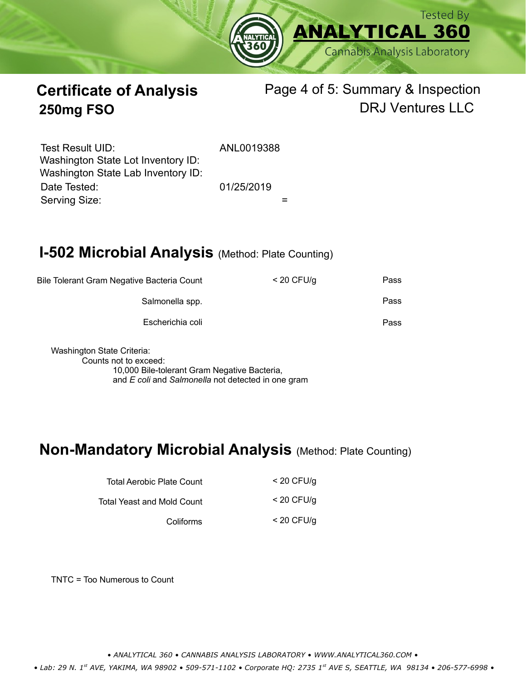

### **Certificate of Analysis** Page 4 of 5: Summary & Inspection **250mg FSO** DRJ Ventures LLC

Serving Size:  $=$ Test Result UID: ANI 0019388 Date Tested: 01/25/2019 Washington State Lot Inventory ID: Washington State Lab Inventory ID:

# **I-502 Microbial Analysis (Method: Plate Counting)**

| Pass | $<$ 20 CFU/g | Bile Tolerant Gram Negative Bacteria Count |
|------|--------------|--------------------------------------------|
| Pass |              | Salmonella spp.                            |
| Pass |              | Escherichia coli                           |
|      |              |                                            |

Washington State Criteria: Counts not to exceed: 10,000 Bile-tolerant Gram Negative Bacteria, and *E coli* and *Salmonella* not detected in one gram

### **Non-Mandatory Microbial Analysis** (Method: Plate Counting)

| Total Aerobic Plate Count  | $<$ 20 CFU/g |
|----------------------------|--------------|
| Total Yeast and Mold Count | $<$ 20 CFU/a |
| Coliforms                  | $<$ 20 CFU/g |

TNTC = Too Numerous to Count

*• ANALYTICAL 360 • CANNABIS ANALYSIS LABORATORY • WWW.ANALYTICAL360.COM •*

*• Lab: 29 N. 1st AVE, YAKIMA, WA 98902 • 509-571-1102 • Corporate HQ: 2735 1st AVE S, SEATTLE, WA 98134 • 206-577-6998 •*